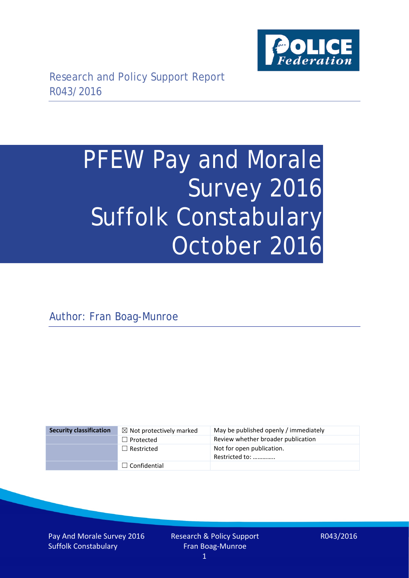

# PFEW Pay and Morale Survey 2016 Suffolk Constabulary October 2016

Author: Fran Boag-Munroe

| <b>Security classification</b> | $\boxtimes$ Not protectively marked | May be published openly / immediately       |
|--------------------------------|-------------------------------------|---------------------------------------------|
|                                | $\Box$ Protected                    | Review whether broader publication          |
|                                | $\Box$ Restricted                   | Not for open publication.<br>Restricted to: |
|                                | $\Box$ Confidential                 |                                             |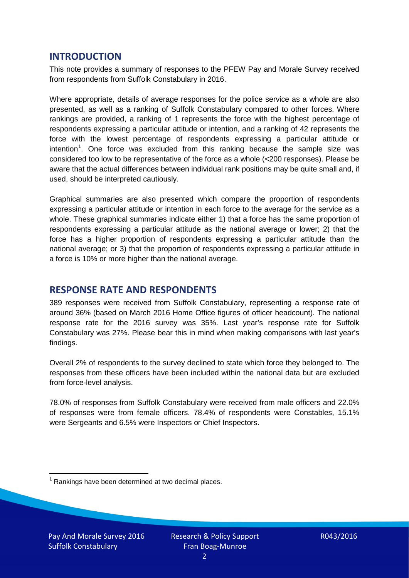## **INTRODUCTION**

This note provides a summary of responses to the PFEW Pay and Morale Survey received from respondents from Suffolk Constabulary in 2016.

Where appropriate, details of average responses for the police service as a whole are also presented, as well as a ranking of Suffolk Constabulary compared to other forces. Where rankings are provided, a ranking of 1 represents the force with the highest percentage of respondents expressing a particular attitude or intention, and a ranking of 42 represents the force with the lowest percentage of respondents expressing a particular attitude or intention<sup>[1](#page-1-0)</sup>. One force was excluded from this ranking because the sample size was considered too low to be representative of the force as a whole (<200 responses). Please be aware that the actual differences between individual rank positions may be quite small and, if used, should be interpreted cautiously.

Graphical summaries are also presented which compare the proportion of respondents expressing a particular attitude or intention in each force to the average for the service as a whole. These graphical summaries indicate either 1) that a force has the same proportion of respondents expressing a particular attitude as the national average or lower; 2) that the force has a higher proportion of respondents expressing a particular attitude than the national average; or 3) that the proportion of respondents expressing a particular attitude in a force is 10% or more higher than the national average.

# **RESPONSE RATE AND RESPONDENTS**

389 responses were received from Suffolk Constabulary, representing a response rate of around 36% (based on March 2016 Home Office figures of officer headcount). The national response rate for the 2016 survey was 35%. Last year's response rate for Suffolk Constabulary was 27%. Please bear this in mind when making comparisons with last year's findings.

Overall 2% of respondents to the survey declined to state which force they belonged to. The responses from these officers have been included within the national data but are excluded from force-level analysis.

78.0% of responses from Suffolk Constabulary were received from male officers and 22.0% of responses were from female officers. 78.4% of respondents were Constables, 15.1% were Sergeants and 6.5% were Inspectors or Chief Inspectors.

<span id="page-1-0"></span> $1$  Rankings have been determined at two decimal places.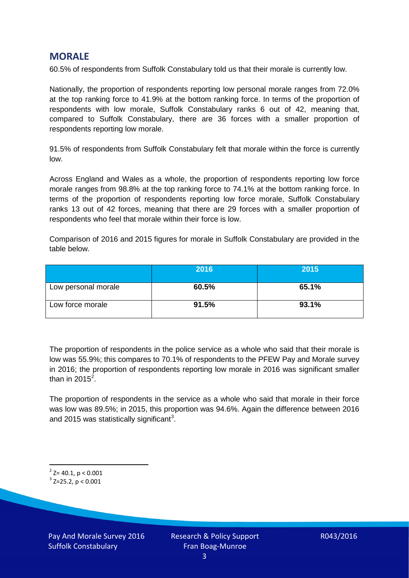## **MORALE**

60.5% of respondents from Suffolk Constabulary told us that their morale is currently low.

Nationally, the proportion of respondents reporting low personal morale ranges from 72.0% at the top ranking force to 41.9% at the bottom ranking force. In terms of the proportion of respondents with low morale, Suffolk Constabulary ranks 6 out of 42, meaning that, compared to Suffolk Constabulary, there are 36 forces with a smaller proportion of respondents reporting low morale.

91.5% of respondents from Suffolk Constabulary felt that morale within the force is currently low.

Across England and Wales as a whole, the proportion of respondents reporting low force morale ranges from 98.8% at the top ranking force to 74.1% at the bottom ranking force. In terms of the proportion of respondents reporting low force morale, Suffolk Constabulary ranks 13 out of 42 forces, meaning that there are 29 forces with a smaller proportion of respondents who feel that morale within their force is low.

Comparison of 2016 and 2015 figures for morale in Suffolk Constabulary are provided in the table below.

|                     | 2016  | 2015  |
|---------------------|-------|-------|
| Low personal morale | 60.5% | 65.1% |
| Low force morale    | 91.5% | 93.1% |

The proportion of respondents in the police service as a whole who said that their morale is low was 55.9%; this compares to 70.1% of respondents to the PFEW Pay and Morale survey in 2016; the proportion of respondents reporting low morale in 2016 was significant smaller than in [2](#page-2-0)015 $^2$ .

The proportion of respondents in the service as a whole who said that morale in their force was low was 89.5%; in 2015, this proportion was 94.6%. Again the difference between 2016 and 2015 was statistically significant<sup>[3](#page-2-1)</sup>.

<span id="page-2-0"></span> $2$ <sup>2</sup> Z= 40.1, p < 0.001

<span id="page-2-1"></span> $3$  Z=25.2, p < 0.001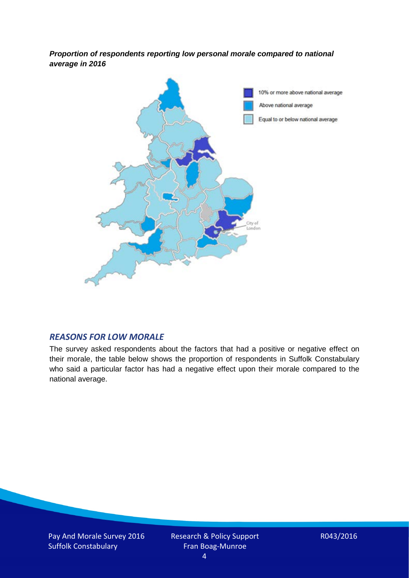*Proportion of respondents reporting low personal morale compared to national average in 2016*



## *REASONS FOR LOW MORALE*

The survey asked respondents about the factors that had a positive or negative effect on their morale, the table below shows the proportion of respondents in Suffolk Constabulary who said a particular factor has had a negative effect upon their morale compared to the national average.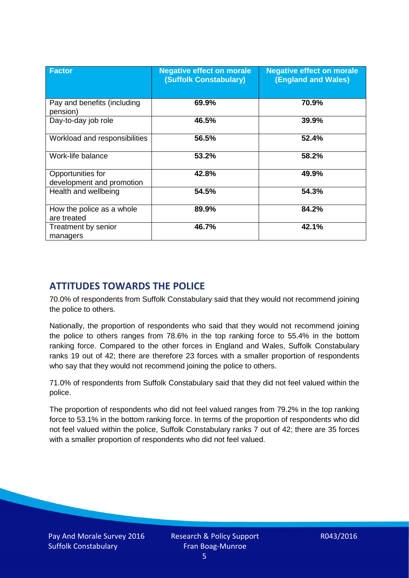| <b>Factor</b>                                  | <b>Negative effect on morale</b><br>(Suffolk Constabulary) | <b>Negative effect on morale</b><br><b>(England and Wales)</b> |
|------------------------------------------------|------------------------------------------------------------|----------------------------------------------------------------|
| Pay and benefits (including<br>pension)        | 69.9%                                                      | 70.9%                                                          |
| Day-to-day job role                            | 46.5%                                                      | 39.9%                                                          |
| Workload and responsibilities                  | 56.5%                                                      | 52.4%                                                          |
| Work-life balance                              | 53.2%                                                      | 58.2%                                                          |
| Opportunities for<br>development and promotion | 42.8%                                                      | 49.9%                                                          |
| Health and wellbeing                           | 54.5%                                                      | 54.3%                                                          |
| How the police as a whole<br>are treated       | 89.9%                                                      | 84.2%                                                          |
| Treatment by senior<br>managers                | 46.7%                                                      | 42.1%                                                          |

# **ATTITUDES TOWARDS THE POLICE**

70.0% of respondents from Suffolk Constabulary said that they would not recommend joining the police to others.

Nationally, the proportion of respondents who said that they would not recommend joining the police to others ranges from 78.6% in the top ranking force to 55.4% in the bottom ranking force. Compared to the other forces in England and Wales, Suffolk Constabulary ranks 19 out of 42; there are therefore 23 forces with a smaller proportion of respondents who say that they would not recommend joining the police to others.

71.0% of respondents from Suffolk Constabulary said that they did not feel valued within the police.

The proportion of respondents who did not feel valued ranges from 79.2% in the top ranking force to 53.1% in the bottom ranking force. In terms of the proportion of respondents who did not feel valued within the police, Suffolk Constabulary ranks 7 out of 42; there are 35 forces with a smaller proportion of respondents who did not feel valued.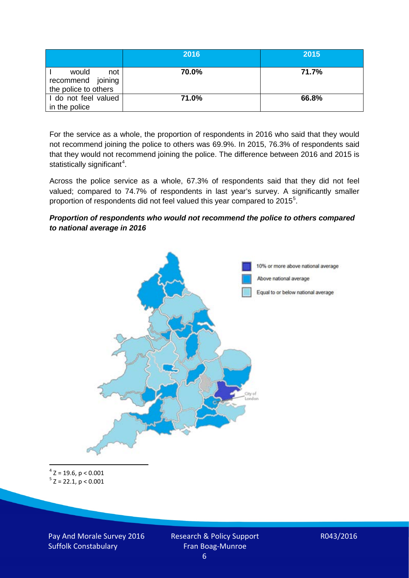|                                                           | 2016  | 2015  |
|-----------------------------------------------------------|-------|-------|
| would<br>not<br>recommend joining<br>the police to others | 70.0% | 71.7% |
| I do not feel valued<br>in the police                     | 71.0% | 66.8% |

For the service as a whole, the proportion of respondents in 2016 who said that they would not recommend joining the police to others was 69.9%. In 2015, 76.3% of respondents said that they would not recommend joining the police. The difference between 2016 and 2015 is statistically significant<sup>[4](#page-5-0)</sup>.

Across the police service as a whole, 67.3% of respondents said that they did not feel valued; compared to 74.7% of respondents in last year's survey. A significantly smaller proportion of respondents did not feel valued this year compared to 201[5](#page-5-1)<sup>5</sup>.

#### *Proportion of respondents who would not recommend the police to others compared to national average in 2016*



<span id="page-5-1"></span><span id="page-5-0"></span> $4$  Z = 19.6, p < 0.001  $5$  Z = 22.1, p < 0.001

Pay And Morale Survey 2016 Suffolk Constabulary

Research & Policy Support Fran Boag-Munroe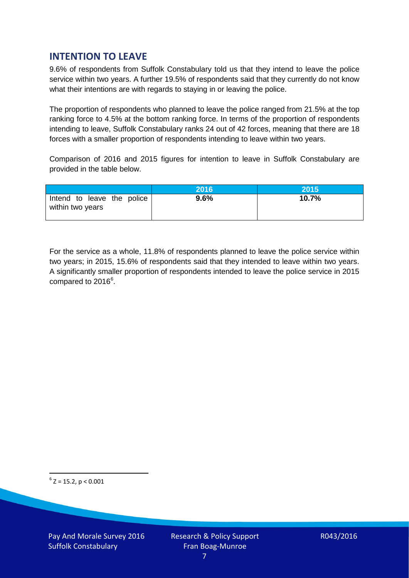# **INTENTION TO LEAVE**

9.6% of respondents from Suffolk Constabulary told us that they intend to leave the police service within two years. A further 19.5% of respondents said that they currently do not know what their intentions are with regards to staying in or leaving the police.

The proportion of respondents who planned to leave the police ranged from 21.5% at the top ranking force to 4.5% at the bottom ranking force. In terms of the proportion of respondents intending to leave, Suffolk Constabulary ranks 24 out of 42 forces, meaning that there are 18 forces with a smaller proportion of respondents intending to leave within two years.

Comparison of 2016 and 2015 figures for intention to leave in Suffolk Constabulary are provided in the table below.

|                                                | 2016 | 2015  |
|------------------------------------------------|------|-------|
| Intend to leave the police<br>within two years | 9.6% | 10.7% |

For the service as a whole, 11.8% of respondents planned to leave the police service within two years; in 2015, 15.6% of respondents said that they intended to leave within two years. A significantly smaller proportion of respondents intended to leave the police service in 2015 compared to 201[6](#page-6-0)<sup>6</sup>.

<span id="page-6-0"></span> $6$  Z = 15.2, p < 0.001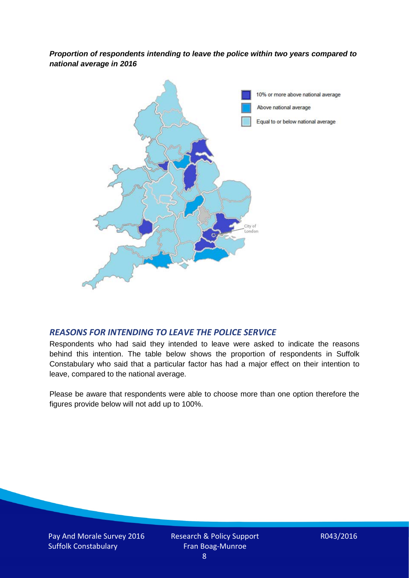*Proportion of respondents intending to leave the police within two years compared to national average in 2016*



## *REASONS FOR INTENDING TO LEAVE THE POLICE SERVICE*

Respondents who had said they intended to leave were asked to indicate the reasons behind this intention. The table below shows the proportion of respondents in Suffolk Constabulary who said that a particular factor has had a major effect on their intention to leave, compared to the national average.

Please be aware that respondents were able to choose more than one option therefore the figures provide below will not add up to 100%.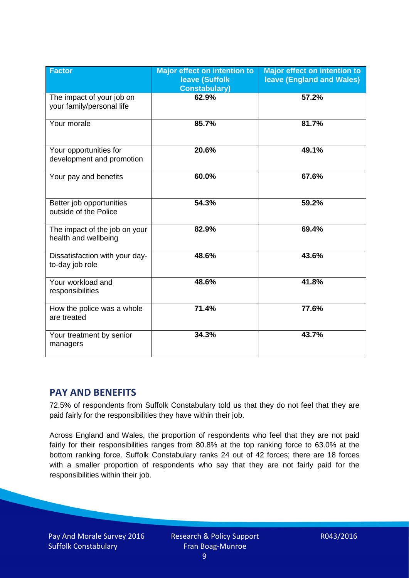| <b>Factor</b>                                          | <b>Major effect on intention to</b><br><b>leave (Suffolk</b><br><b>Constabulary)</b> | <b>Major effect on intention to</b><br><b>leave (England and Wales)</b> |
|--------------------------------------------------------|--------------------------------------------------------------------------------------|-------------------------------------------------------------------------|
| The impact of your job on<br>your family/personal life | 62.9%                                                                                | 57.2%                                                                   |
| Your morale                                            | 85.7%                                                                                | 81.7%                                                                   |
| Your opportunities for<br>development and promotion    | 20.6%                                                                                | 49.1%                                                                   |
| Your pay and benefits                                  | 60.0%                                                                                | 67.6%                                                                   |
| Better job opportunities<br>outside of the Police      | 54.3%                                                                                | 59.2%                                                                   |
| The impact of the job on your<br>health and wellbeing  | 82.9%                                                                                | 69.4%                                                                   |
| Dissatisfaction with your day-<br>to-day job role      | 48.6%                                                                                | 43.6%                                                                   |
| Your workload and<br>responsibilities                  | 48.6%                                                                                | 41.8%                                                                   |
| How the police was a whole<br>are treated              | 71.4%                                                                                | 77.6%                                                                   |
| Your treatment by senior<br>managers                   | 34.3%                                                                                | 43.7%                                                                   |

# **PAY AND BENEFITS**

72.5% of respondents from Suffolk Constabulary told us that they do not feel that they are paid fairly for the responsibilities they have within their job.

Across England and Wales, the proportion of respondents who feel that they are not paid fairly for their responsibilities ranges from 80.8% at the top ranking force to 63.0% at the bottom ranking force. Suffolk Constabulary ranks 24 out of 42 forces; there are 18 forces with a smaller proportion of respondents who say that they are not fairly paid for the responsibilities within their job.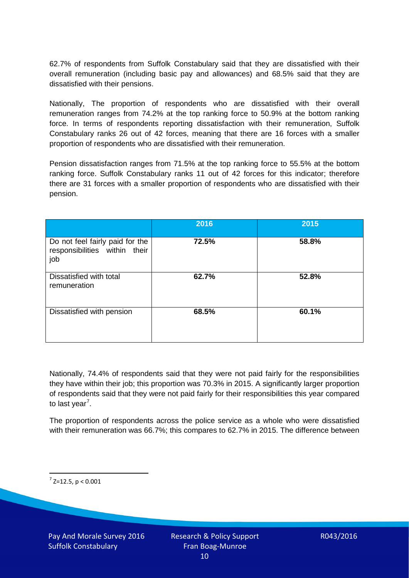62.7% of respondents from Suffolk Constabulary said that they are dissatisfied with their overall remuneration (including basic pay and allowances) and 68.5% said that they are dissatisfied with their pensions.

Nationally, The proportion of respondents who are dissatisfied with their overall remuneration ranges from 74.2% at the top ranking force to 50.9% at the bottom ranking force. In terms of respondents reporting dissatisfaction with their remuneration, Suffolk Constabulary ranks 26 out of 42 forces, meaning that there are 16 forces with a smaller proportion of respondents who are dissatisfied with their remuneration.

Pension dissatisfaction ranges from 71.5% at the top ranking force to 55.5% at the bottom ranking force. Suffolk Constabulary ranks 11 out of 42 forces for this indicator; therefore there are 31 forces with a smaller proportion of respondents who are dissatisfied with their pension.

|                                                                         | 2016  | 2015  |
|-------------------------------------------------------------------------|-------|-------|
| Do not feel fairly paid for the<br>responsibilities within their<br>job | 72.5% | 58.8% |
| Dissatisfied with total<br>remuneration                                 | 62.7% | 52.8% |
| Dissatisfied with pension                                               | 68.5% | 60.1% |

Nationally, 74.4% of respondents said that they were not paid fairly for the responsibilities they have within their job; this proportion was 70.3% in 2015. A significantly larger proportion of respondents said that they were not paid fairly for their responsibilities this year compared to last year<sup>[7](#page-9-0)</sup>.

The proportion of respondents across the police service as a whole who were dissatisfied with their remuneration was 66.7%; this compares to 62.7% in 2015. The difference between

<span id="page-9-0"></span> $7$  Z=12.5, p < 0.001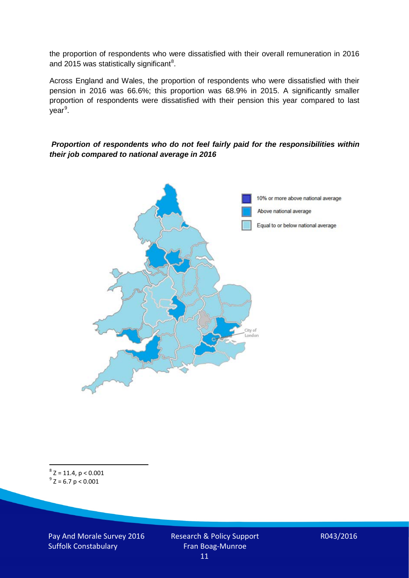the proportion of respondents who were dissatisfied with their overall remuneration in 2016 and 2015 was statistically significant<sup>[8](#page-10-0)</sup>.

Across England and Wales, the proportion of respondents who were dissatisfied with their pension in 2016 was 66.6%; this proportion was 68.9% in 2015. A significantly smaller proportion of respondents were dissatisfied with their pension this year compared to last year<sup>[9](#page-10-1)</sup>.

#### *Proportion of respondents who do not feel fairly paid for the responsibilities within their job compared to national average in 2016*



<span id="page-10-1"></span><span id="page-10-0"></span> $8$  Z = 11.4, p < 0.001  $9^{\circ}$  Z = 6.7 p < 0.001